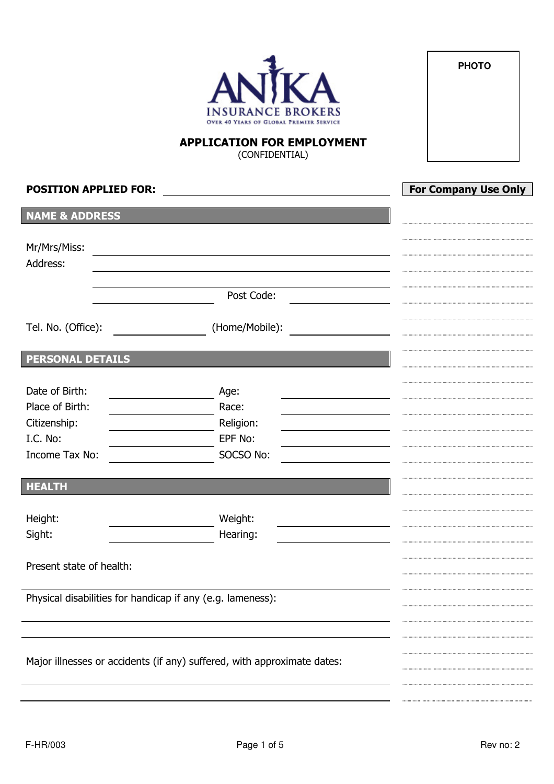

**PHOTO** 

# APPLICATION FOR EMPLOYMENT (CONFIDENTIAL)

| <b>POSITION APPLIED FOR:</b> |                                                                         | <b>For Company Use Only</b> |
|------------------------------|-------------------------------------------------------------------------|-----------------------------|
| <b>NAME &amp; ADDRESS</b>    |                                                                         |                             |
| Mr/Mrs/Miss:                 |                                                                         |                             |
| Address:                     |                                                                         |                             |
|                              |                                                                         |                             |
|                              | Post Code:                                                              |                             |
| Tel. No. (Office):           | (Home/Mobile):                                                          |                             |
| <b>PERSONAL DETAILS</b>      |                                                                         |                             |
|                              |                                                                         |                             |
| Date of Birth:               | Age:                                                                    |                             |
| Place of Birth:              | Race:                                                                   |                             |
| Citizenship:                 | Religion:                                                               |                             |
| I.C. No:                     | EPF No:                                                                 |                             |
| Income Tax No:               | SOCSO No:                                                               |                             |
| <b>HEALTH</b>                |                                                                         |                             |
|                              |                                                                         |                             |
| Height:                      | Weight:                                                                 |                             |
| Sight:                       | Hearing:                                                                |                             |
| Present state of health:     |                                                                         |                             |
|                              |                                                                         |                             |
|                              | Physical disabilities for handicap if any (e.g. lameness):              |                             |
|                              |                                                                         |                             |
|                              |                                                                         |                             |
|                              |                                                                         |                             |
|                              | Major illnesses or accidents (if any) suffered, with approximate dates: |                             |
|                              |                                                                         |                             |
|                              |                                                                         |                             |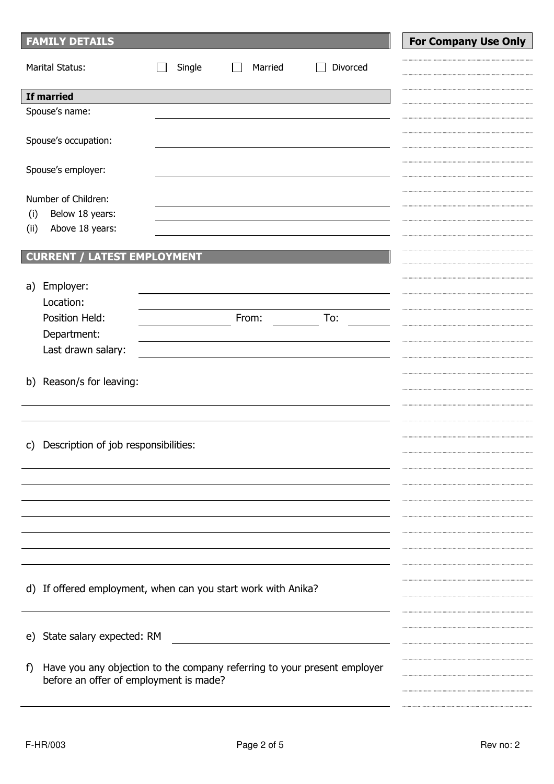| <b>FAMILY DETAILS</b>                                                          |        |         |          | <b>For Company Use Only</b> |
|--------------------------------------------------------------------------------|--------|---------|----------|-----------------------------|
| <b>Marital Status:</b>                                                         | Single | Married | Divorced |                             |
| If married                                                                     |        |         |          |                             |
| Spouse's name:                                                                 |        |         |          |                             |
|                                                                                |        |         |          |                             |
| Spouse's occupation:                                                           |        |         |          |                             |
|                                                                                |        |         |          |                             |
| Spouse's employer:                                                             |        |         |          |                             |
|                                                                                |        |         |          |                             |
| Number of Children:                                                            |        |         |          |                             |
| Below 18 years:<br>(i)                                                         |        |         |          |                             |
| (i)<br>Above 18 years:                                                         |        |         |          |                             |
| <b>CURRENT / LATEST EMPLOYMENT</b>                                             |        |         |          |                             |
|                                                                                |        |         |          |                             |
| Employer:<br>a)                                                                |        |         |          |                             |
| Location:                                                                      |        |         |          |                             |
| Position Held:                                                                 |        | From:   | To:      |                             |
| Department:                                                                    |        |         |          |                             |
| Last drawn salary:                                                             |        |         |          |                             |
|                                                                                |        |         |          |                             |
| Reason/s for leaving:<br>b)                                                    |        |         |          |                             |
|                                                                                |        |         |          |                             |
|                                                                                |        |         |          |                             |
|                                                                                |        |         |          |                             |
| Description of job responsibilities:<br>C)                                     |        |         |          |                             |
|                                                                                |        |         |          |                             |
|                                                                                |        |         |          |                             |
|                                                                                |        |         |          |                             |
|                                                                                |        |         |          |                             |
|                                                                                |        |         |          |                             |
|                                                                                |        |         |          |                             |
|                                                                                |        |         |          |                             |
|                                                                                |        |         |          |                             |
| d) If offered employment, when can you start work with Anika?                  |        |         |          |                             |
|                                                                                |        |         |          |                             |
|                                                                                |        |         |          |                             |
| State salary expected: RM<br>e)                                                |        |         |          |                             |
|                                                                                |        |         |          |                             |
| Have you any objection to the company referring to your present employer<br>f) |        |         |          |                             |
| before an offer of employment is made?                                         |        |         |          |                             |
|                                                                                |        |         |          |                             |
|                                                                                |        |         |          |                             |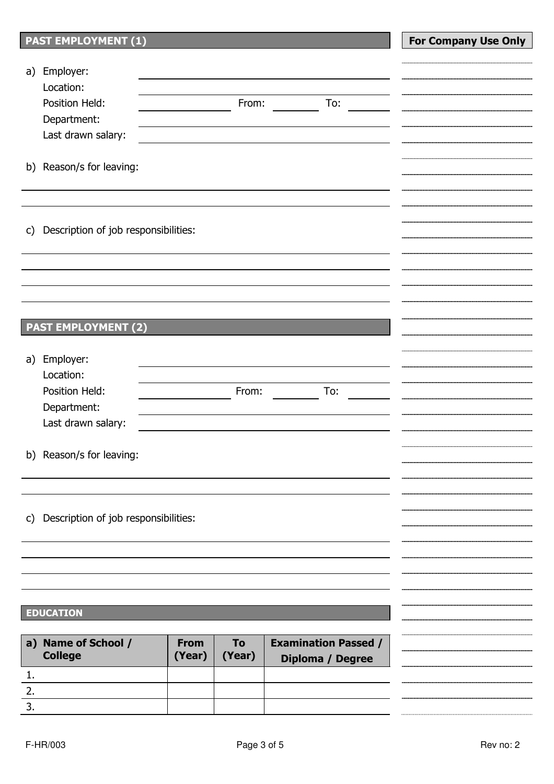| <b>PAST EMPLOYMENT (1)</b>                           |       |                             | <b>For Company Use Only</b> |
|------------------------------------------------------|-------|-----------------------------|-----------------------------|
|                                                      |       |                             |                             |
| Employer:<br>a)                                      |       |                             |                             |
| Location:<br>Position Held:                          | From: | To:                         |                             |
| Department:                                          |       |                             |                             |
| Last drawn salary:                                   |       |                             |                             |
|                                                      |       |                             |                             |
| b) Reason/s for leaving:                             |       |                             |                             |
|                                                      |       |                             |                             |
|                                                      |       |                             |                             |
|                                                      |       |                             |                             |
| Description of job responsibilities:<br>$\mathsf{C}$ |       |                             |                             |
|                                                      |       |                             |                             |
|                                                      |       |                             |                             |
|                                                      |       |                             |                             |
|                                                      |       |                             |                             |
| <b>PAST EMPLOYMENT (2)</b>                           |       |                             |                             |
|                                                      |       |                             |                             |
| Employer:<br>a)                                      |       |                             |                             |
| Location:                                            |       |                             |                             |
| Position Held:                                       | From: | To:                         |                             |
| Department:                                          |       |                             |                             |
| Last drawn salary:                                   |       |                             |                             |
|                                                      |       |                             |                             |
| b) Reason/s for leaving:                             |       |                             |                             |
|                                                      |       |                             |                             |
|                                                      |       |                             |                             |
| Description of job responsibilities:<br>$\mathsf{c}$ |       |                             |                             |
|                                                      |       |                             |                             |
|                                                      |       |                             |                             |
|                                                      |       |                             |                             |
|                                                      |       |                             |                             |
|                                                      |       |                             |                             |
| <b>EDUCATION</b>                                     |       |                             |                             |
| a) Name of School /<br><b>From</b>                   | To    | <b>Examination Passed /</b> |                             |

| a) Name of School /<br><b>College</b> | <b>From</b><br>(Year) | To.<br>(Year) | <b>Examination Passed /</b><br>Diploma / Degree |  |
|---------------------------------------|-----------------------|---------------|-------------------------------------------------|--|
| <b>.</b>                              |                       |               |                                                 |  |
|                                       |                       |               |                                                 |  |
|                                       |                       |               |                                                 |  |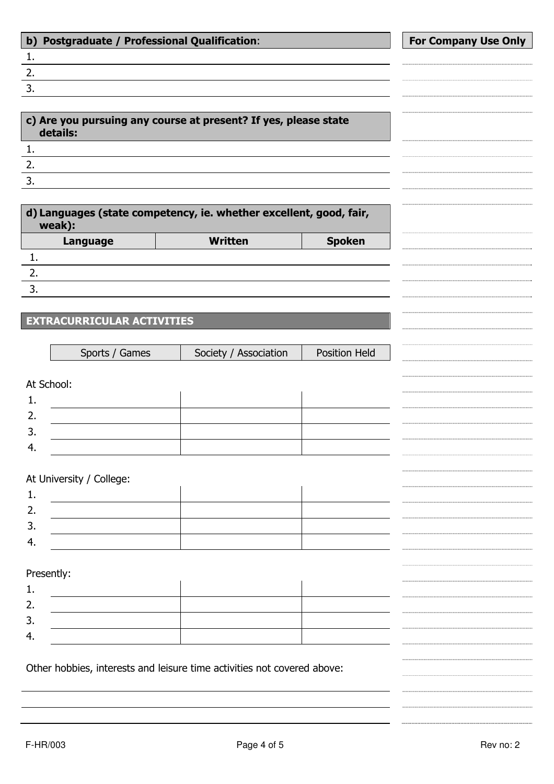| $\mathbf{b}$ | <b>Postgraduate / Professional Qualification:</b><br><b>For Company Use Only</b> |                                                                         |               |  |  |  |  |  |
|--------------|----------------------------------------------------------------------------------|-------------------------------------------------------------------------|---------------|--|--|--|--|--|
| 1.           |                                                                                  |                                                                         |               |  |  |  |  |  |
| 2.           |                                                                                  |                                                                         |               |  |  |  |  |  |
| 3.           |                                                                                  |                                                                         |               |  |  |  |  |  |
|              |                                                                                  |                                                                         |               |  |  |  |  |  |
|              | details:                                                                         | c) Are you pursuing any course at present? If yes, please state         |               |  |  |  |  |  |
| 1.           |                                                                                  |                                                                         |               |  |  |  |  |  |
| 2.           |                                                                                  |                                                                         |               |  |  |  |  |  |
| 3.           |                                                                                  |                                                                         |               |  |  |  |  |  |
|              |                                                                                  |                                                                         |               |  |  |  |  |  |
|              | weak):                                                                           | d) Languages (state competency, ie. whether excellent, good, fair,      |               |  |  |  |  |  |
|              | Language                                                                         | <b>Written</b>                                                          | <b>Spoken</b> |  |  |  |  |  |
| 1.           |                                                                                  |                                                                         |               |  |  |  |  |  |
| 2.           |                                                                                  |                                                                         |               |  |  |  |  |  |
| 3.           |                                                                                  |                                                                         |               |  |  |  |  |  |
|              |                                                                                  |                                                                         |               |  |  |  |  |  |
|              | <b>EXTRACURRICULAR ACTIVITIES</b>                                                |                                                                         |               |  |  |  |  |  |
|              |                                                                                  |                                                                         |               |  |  |  |  |  |
|              | Sports / Games                                                                   | Society / Association                                                   | Position Held |  |  |  |  |  |
|              |                                                                                  |                                                                         |               |  |  |  |  |  |
|              | At School:                                                                       |                                                                         |               |  |  |  |  |  |
| 1.           |                                                                                  |                                                                         |               |  |  |  |  |  |
| 2.           |                                                                                  |                                                                         |               |  |  |  |  |  |
| 3.           |                                                                                  |                                                                         |               |  |  |  |  |  |
| 4.           |                                                                                  |                                                                         |               |  |  |  |  |  |
|              |                                                                                  |                                                                         |               |  |  |  |  |  |
|              | At University / College:                                                         |                                                                         |               |  |  |  |  |  |
| 1.           |                                                                                  |                                                                         |               |  |  |  |  |  |
| 2.           |                                                                                  |                                                                         |               |  |  |  |  |  |
| 3.           |                                                                                  |                                                                         |               |  |  |  |  |  |
| 4.           |                                                                                  |                                                                         |               |  |  |  |  |  |
|              |                                                                                  |                                                                         |               |  |  |  |  |  |
|              | Presently:                                                                       |                                                                         |               |  |  |  |  |  |
| 1.           |                                                                                  |                                                                         |               |  |  |  |  |  |
| 2.           |                                                                                  |                                                                         |               |  |  |  |  |  |
| 3.           |                                                                                  |                                                                         |               |  |  |  |  |  |
| 4.           |                                                                                  |                                                                         |               |  |  |  |  |  |
|              |                                                                                  |                                                                         |               |  |  |  |  |  |
|              |                                                                                  | Other hobbies, interests and leisure time activities not covered above: |               |  |  |  |  |  |
|              |                                                                                  |                                                                         |               |  |  |  |  |  |
|              |                                                                                  |                                                                         |               |  |  |  |  |  |